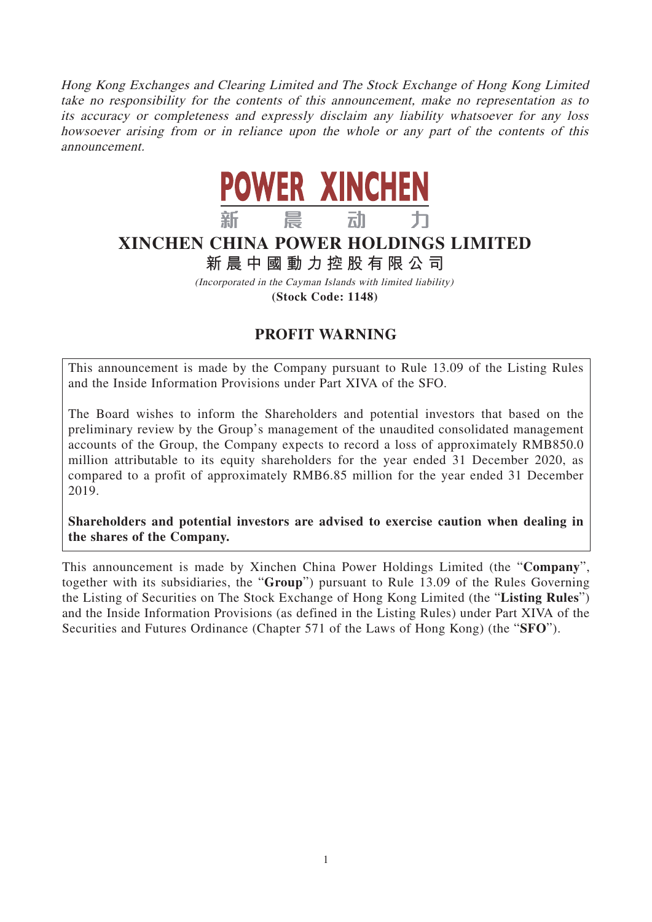Hong Kong Exchanges and Clearing Limited and The Stock Exchange of Hong Kong Limited take no responsibility for the contents of this announcement, make no representation as to its accuracy or completeness and expressly disclaim any liability whatsoever for any loss howsoever arising from or in reliance upon the whole or any part of the contents of this announcement.



## **XINCHEN CHINA POWER HOLDINGS LIMITED**

## **新晨中國動力控股有限公 司**

(Incorporated in the Cayman Islands with limited liability) **(Stock Code: 1148)**

## **PROFIT WARNING**

This announcement is made by the Company pursuant to Rule 13.09 of the Listing Rules and the Inside Information Provisions under Part XIVA of the SFO.

The Board wishes to inform the Shareholders and potential investors that based on the preliminary review by the Group's management of the unaudited consolidated management accounts of the Group, the Company expects to record a loss of approximately RMB850.0 million attributable to its equity shareholders for the year ended 31 December 2020, as compared to a profit of approximately RMB6.85 million for the year ended 31 December 2019.

**Shareholders and potential investors are advised to exercise caution when dealing in the shares of the Company.**

This announcement is made by Xinchen China Power Holdings Limited (the "**Company**", together with its subsidiaries, the "**Group**") pursuant to Rule 13.09 of the Rules Governing the Listing of Securities on The Stock Exchange of Hong Kong Limited (the "**Listing Rules**") and the Inside Information Provisions (as defined in the Listing Rules) under Part XIVA of the Securities and Futures Ordinance (Chapter 571 of the Laws of Hong Kong) (the "**SFO**").